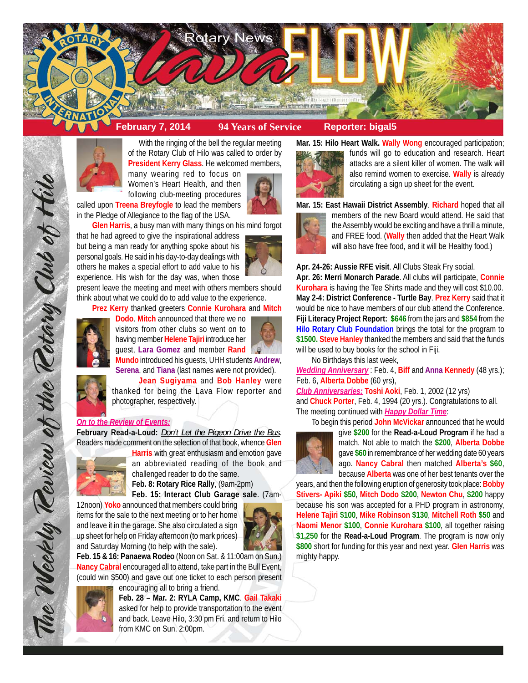



With the ringing of the bell the regular meeting of the Rotary Club of Hilo was called to order by **President Kerry Glass**. He welcomed members,

many wearing red to focus on Women's Heart Health, and then following club-meeting procedures

called upon **Treena Breyfogle** to lead the members in the Pledge of Allegiance to the flag of the USA.

**Glen Harris**, a busy man with many things on his mind forgot that he had agreed to give the inspirational address but being a man ready for anything spoke about his personal goals. He said in his day-to-day dealings with others he makes a special effort to add value to his experience. His wish for the day was, when those

present leave the meeting and meet with others members should think about what we could do to add value to the experience.

**Prez Kerry** thanked greeters **Connie Kurohara** and **Mitch**



**Dodo**. **Mitch** announced that there we no visitors from other clubs so went on to having member **Helene Tajiri** introduce her guest, **Lara Gomez** and member **Rand Mundo** introduced his guests, UHH students **Andrew**,





The Weekly Teview of the Tetary Club of Hilo

**Serena**, and **Tiana** (last names were not provided). **Jean Sugiyama** and **Bob Hanley** were thanked for being the Lava Flow reporter and photographer, respectively.

## *On to the Review of Events:*

**February Read-a-Loud:** *Don't Let the Pigeon Drive the Bus*. Readers made comment on the selection of that book, whence **Glen**



**Harris** with great enthusiasm and emotion gave an abbreviated reading of the book and challenged reader to do the same.

**Feb. 8: Rotary Rice Rally**, (9am-2pm)

**Feb. 15: Interact Club Garage sale**. (7am-

12noon) **Yoko** announced that members could bring items for the sale to the next meeting or to her home and leave it in the garage. She also circulated a sign up sheet for help on Friday afternoon (to mark prices) and Saturday Morning (to help with the sale).



**Feb. 15 & 16: Panaewa Rodeo** (Noon on Sat. & 11:00am on Sun.) **Nancy Cabral** encouraged all to attend, take part in the Bull Event, (could win \$500) and gave out one ticket to each person present encouraging all to bring a friend.



**Feb. 28 – Mar. 2: RYLA Camp, KMC**. **Gail Takaki**

asked for help to provide transportation to the event and back. Leave Hilo, 3:30 pm Fri. and return to Hilo from KMC on Sun. 2:00pm.

**Mar. 15: Hilo Heart Walk. Wally Wong** encouraged participation;



funds will go to education and research. Heart attacks are a silent killer of women. The walk will also remind women to exercise. **Wally** is already circulating a sign up sheet for the event.

**Mar. 15: East Hawaii District Assembly**. **Richard** hoped that all



members of the new Board would attend. He said that the Assembly would be exciting and have a thrill a minute, and FREE food. (**Wally** then added that the Heart Walk will also have free food, and it will be Healthy food.)

**Apr. 24-26: Aussie RFE visit**. All Clubs Steak Fry social.

**Apr. 26: Merri Monarch Parade**. All clubs will participate, **Connie Kurohara** is having the Tee Shirts made and they will cost \$10.00. **May 2-4: District Conference - Turtle Bay**. **Prez Kerry** said that it would be nice to have members of our club attend the Conference. **Fiji Literacy Project Report: \$646** from the jars and **\$854** from the **Hilo Rotary Club Foundation** brings the total for the program to **\$1500. Steve Hanley** thanked the members and said that the funds will be used to buy books for the school in Fiji.

No Birthdays this last week,

*Wedding Anniversary* : Feb. 4, **Biff** and **Anna Kennedy** (48 yrs.); Feb. 6, **Alberta Dobbe** (60 yrs),

*Club Anniversaries:* **Toshi Aoki**, Feb. 1, 2002 (12 yrs) and **Chuck Porter**, Feb. 4, 1994 (20 yrs.). Congratulations to all. The meeting continued with *Happy Dollar Time*:

To begin this period **John McVickar** announced that he would



give **\$200** for the **Read-a-Loud Program** if he had a match. Not able to match the **\$200**, **Alberta Dobbe** gave **\$60** in remembrance of her wedding date 60 years ago. **Nancy Cabral** then matched **Alberta's \$60**, because **Alberta** was one of her best tenants over the

years, and then the following eruption of generosity took place: **Bobby Stivers- Apiki \$50**, **Mitch Dodo \$200**, **Newton Chu**, **\$200** happy because his son was accepted for a PHD program in astronomy, **Helene Tajiri \$100**, **Mike Robinson \$130**, **Mitchell Roth \$50** and **Naomi Menor \$100**, **Connie Kurohara \$100**, all together raising **\$1,250** for the **Read-a-Loud Program**. The program is now only **\$800** short for funding for this year and next year. **Glen Harris** was mighty happy.